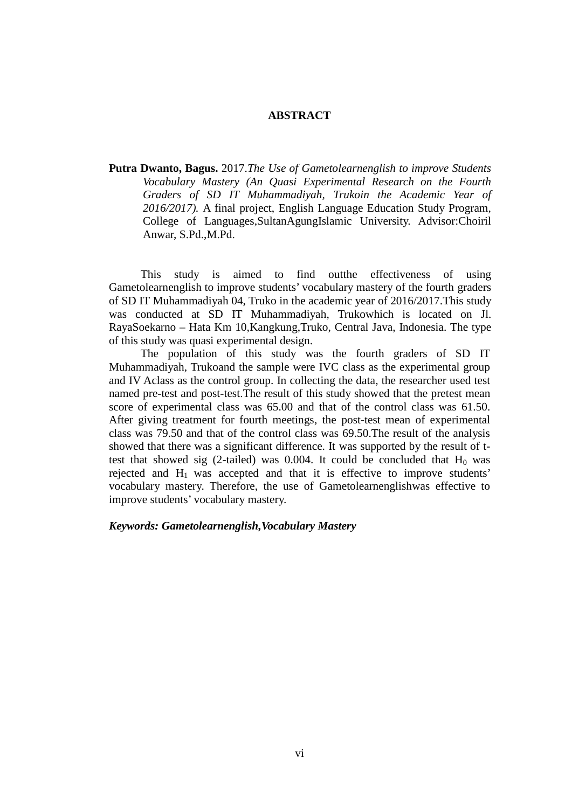## **ABSTRACT**

**Putra Dwanto, Bagus.** 2017.*The Use of Gametolearnenglish to improve Students Vocabulary Mastery (An Quasi Experimental Research on the Fourth Graders of SD IT Muhammadiyah, Trukoin the Academic Year of 2016/2017).* A final project, English Language Education Study Program, College of Languages,SultanAgungIslamic University. Advisor:Choiril Anwar, S.Pd.,M.Pd.

This study is aimed to find outthe effectiveness of using Gametolearnenglish to improve students' vocabulary mastery of the fourth graders of SD IT Muhammadiyah 04, Truko in the academic year of 2016/2017.This study was conducted at SD IT Muhammadiyah, Trukowhich is located on Jl. RayaSoekarno – Hata Km 10,Kangkung,Truko, Central Java, Indonesia. The type of this study was quasi experimental design.

The population of this study was the fourth graders of SD IT Muhammadiyah, Trukoand the sample were IVC class as the experimental group and IV Aclass as the control group. In collecting the data, the researcher used test named pre-test and post-test.The result of this study showed that the pretest mean score of experimental class was 65.00 and that of the control class was 61.50. After giving treatment for fourth meetings, the post-test mean of experimental class was 79.50 and that of the control class was 69.50.The result of the analysis showed that there was a significant difference. It was supported by the result of ttest that showed sig (2-tailed) was 0.004. It could be concluded that  $H_0$  was rejected and  $H_1$  was accepted and that it is effective to improve students' vocabulary mastery. Therefore, the use of Gametolearnenglishwas effective to improve students' vocabulary mastery.

*Keywords: Gametolearnenglish,Vocabulary Mastery*